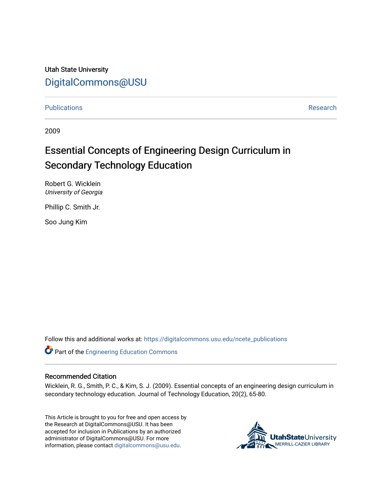Utah State University [DigitalCommons@USU](https://digitalcommons.usu.edu/)

[Publications](https://digitalcommons.usu.edu/ncete_publications) **Research** 

2009

# Essential Concepts of Engineering Design Curriculum in Secondary Technology Education

Robert G. Wicklein University of Georgia

Phillip C. Smith Jr.

Soo Jung Kim

Follow this and additional works at: [https://digitalcommons.usu.edu/ncete\\_publications](https://digitalcommons.usu.edu/ncete_publications?utm_source=digitalcommons.usu.edu%2Fncete_publications%2F68&utm_medium=PDF&utm_campaign=PDFCoverPages) 

Part of the [Engineering Education Commons](http://network.bepress.com/hgg/discipline/1191?utm_source=digitalcommons.usu.edu%2Fncete_publications%2F68&utm_medium=PDF&utm_campaign=PDFCoverPages) 

## Recommended Citation

Wicklein, R. G., Smith, P. C., & Kim, S. J. (2009). Essential concepts of an engineering design curriculum in secondary technology education. Journal of Technology Education, 20(2), 65-80.

This Article is brought to you for free and open access by the Research at DigitalCommons@USU. It has been accepted for inclusion in Publications by an authorized administrator of DigitalCommons@USU. For more information, please contact [digitalcommons@usu.edu](mailto:digitalcommons@usu.edu).

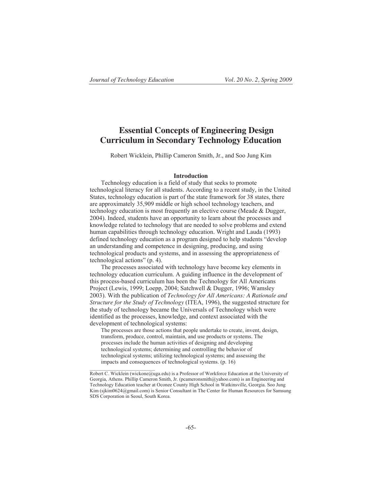\_\_\_\_\_\_\_\_\_\_\_\_\_\_\_\_\_\_\_\_\_\_\_\_\_\_

## **Essential Concepts of Engineering Design Curriculum in Secondary Technology Education**

Robert Wicklein, Phillip Cameron Smith, Jr., and Soo Jung Kim

## **Introduction**

Technology education is a field of study that seeks to promote technological literacy for all students. According to a recent study, in the United States, technology education is part of the state framework for 38 states, there are approximately 35,909 middle or high school technology teachers, and technology education is most frequently an elective course (Meade & Dugger, 2004). Indeed, students have an opportunity to learn about the processes and knowledge related to technology that are needed to solve problems and extend human capabilities through technology education. Wright and Lauda (1993) defined technology education as a program designed to help students "develop an understanding and competence in designing, producing, and using technological products and systems, and in assessing the appropriateness of technological actions" (p. 4).

The processes associated with technology have become key elements in technology education curriculum. A guiding influence in the development of this process-based curriculum has been the Technology for All Americans Project (Lewis, 1999; Loepp, 2004; Satchwell & Dugger, 1996; Wamsley 2003). With the publication of *Technology for All Americans: A Rationale and Structure for the Study of Technology* (ITEA, 1996), the suggested structure for the study of technology became the Universals of Technology which were identified as the processes, knowledge, and context associated with the development of technological systems:

The processes are those actions that people undertake to create, invent, design, transform, produce, control, maintain, and use products or systems. The processes include the human activities of designing and developing technological systems; determining and controlling the behavior of technological systems; utilizing technological systems; and assessing the impacts and consequences of technological systems. (p. 16)

Robert C. Wicklein (wickone@uga.edu) is a Professor of Workforce Education at the University of Georgia, Athens. Phillip Cameron Smith, Jr. (pcameronsmith@yahoo.com) is an Engineering and Technology Education teacher at Oconee County High School in Watkinsville, Georgia. Soo Jung Kim (sjkim0624@gmail.com) is Senior Consultant in The Center for Human Resources for Samsung SDS Corporation in Seoul, South Korea.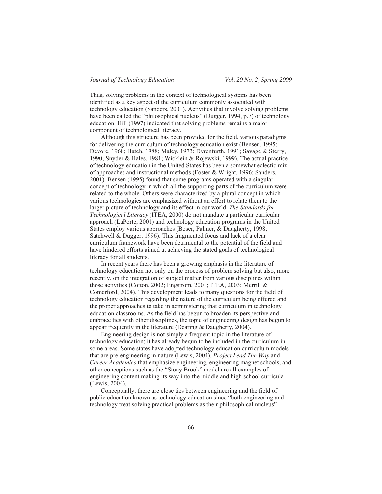Thus, solving problems in the context of technological systems has been identified as a key aspect of the curriculum commonly associated with technology education (Sanders, 2001). Activities that involve solving problems have been called the "philosophical nucleus" (Dugger, 1994, p.7) of technology education. Hill (1997) indicated that solving problems remains a major component of technological literacy.

Although this structure has been provided for the field, various paradigms for delivering the curriculum of technology education exist (Bensen, 1995; Devore, 1968; Hatch, 1988; Maley, 1973; Dyrenfurth, 1991; Savage & Sterry, 1990; Snyder & Hales, 1981; Wicklein & Rojewski, 1999). The actual practice of technology education in the United States has been a somewhat eclectic mix of approaches and instructional methods (Foster & Wright, 1996; Sanders, 2001). Bensen (1995) found that some programs operated with a singular concept of technology in which all the supporting parts of the curriculum were related to the whole. Others were characterized by a plural concept in which various technologies are emphasized without an effort to relate them to the larger picture of technology and its effect in our world. *The Standards for Technological Literacy* (ITEA, 2000) do not mandate a particular curricular approach (LaPorte, 2001) and technology education programs in the United States employ various approaches (Boser, Palmer, & Daugherty, 1998; Satchwell & Dugger, 1996). This fragmented focus and lack of a clear curriculum framework have been detrimental to the potential of the field and have hindered efforts aimed at achieving the stated goals of technological literacy for all students.

In recent years there has been a growing emphasis in the literature of technology education not only on the process of problem solving but also, more recently, on the integration of subject matter from various disciplines within those activities (Cotton, 2002; Engstrom, 2001; ITEA, 2003; Merrill & Comerford, 2004). This development leads to many questions for the field of technology education regarding the nature of the curriculum being offered and the proper approaches to take in administering that curriculum in technology education classrooms. As the field has begun to broaden its perspective and embrace ties with other disciplines, the topic of engineering design has begun to appear frequently in the literature (Dearing & Daugherty, 2004).

Engineering design is not simply a frequent topic in the literature of technology education; it has already begun to be included in the curriculum in some areas. Some states have adopted technology education curriculum models that are pre-engineering in nature (Lewis, 2004). *Project Lead The Way* and *Career Academies* that emphasize engineering, engineering magnet schools, and other conceptions such as the "Stony Brook" model are all examples of engineering content making its way into the middle and high school curricula (Lewis, 2004).

Conceptually, there are close ties between engineering and the field of public education known as technology education since "both engineering and technology treat solving practical problems as their philosophical nucleus"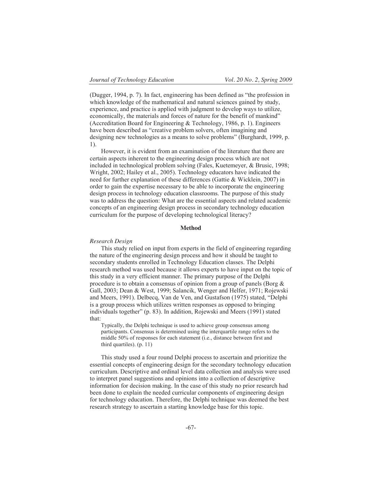(Dugger, 1994, p. 7). In fact, engineering has been defined as "the profession in which knowledge of the mathematical and natural sciences gained by study, experience, and practice is applied with judgment to develop ways to utilize, economically, the materials and forces of nature for the benefit of mankind" (Accreditation Board for Engineering & Technology, 1986, p. 1). Engineers have been described as "creative problem solvers, often imagining and designing new technologies as a means to solve problems" (Burghardt, 1999, p. 1).

However, it is evident from an examination of the literature that there are certain aspects inherent to the engineering design process which are not included in technological problem solving (Fales, Kuetemeyer, & Brusic, 1998; Wright, 2002; Hailey et al., 2005). Technology educators have indicated the need for further explanation of these differences (Gattie & Wicklein, 2007) in order to gain the expertise necessary to be able to incorporate the engineering design process in technology education classrooms. The purpose of this study was to address the question: What are the essential aspects and related academic concepts of an engineering design process in secondary technology education curriculum for the purpose of developing technological literacy?

#### **Method**

#### *Research Design*

This study relied on input from experts in the field of engineering regarding the nature of the engineering design process and how it should be taught to secondary students enrolled in Technology Education classes. The Delphi research method was used because it allows experts to have input on the topic of this study in a very efficient manner. The primary purpose of the Delphi procedure is to obtain a consensus of opinion from a group of panels (Borg & Gall, 2003; Dean & West, 1999; Salancik, Wenger and Helfer, 1971; Rojewski and Meers, 1991). Delbecq, Van de Ven, and Gustafson (1975) stated, "Delphi is a group process which utilizes written responses as opposed to bringing individuals together" (p. 83). In addition, Rojewski and Meers (1991) stated that:

Typically, the Delphi technique is used to achieve group consensus among participants. Consensus is determined using the interquartile range refers to the middle 50% of responses for each statement (i.e., distance between first and third quartiles). (p. 11)

This study used a four round Delphi process to ascertain and prioritize the essential concepts of engineering design for the secondary technology education curriculum. Descriptive and ordinal level data collection and analysis were used to interpret panel suggestions and opinions into a collection of descriptive information for decision making. In the case of this study no prior research had been done to explain the needed curricular components of engineering design for technology education. Therefore, the Delphi technique was deemed the best research strategy to ascertain a starting knowledge base for this topic.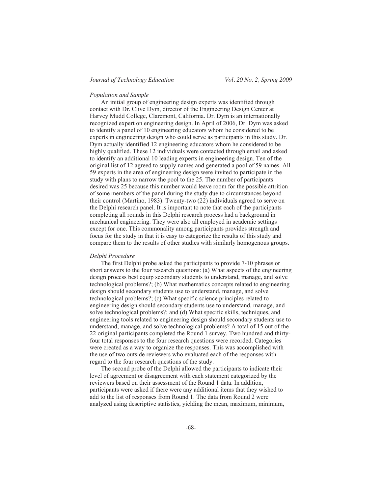## *Population and Sample*

An initial group of engineering design experts was identified through contact with Dr. Clive Dym, director of the Engineering Design Center at Harvey Mudd College, Claremont, California. Dr. Dym is an internationally recognized expert on engineering design. In April of 2006, Dr. Dym was asked to identify a panel of 10 engineering educators whom he considered to be experts in engineering design who could serve as participants in this study. Dr. Dym actually identified 12 engineering educators whom he considered to be highly qualified. These 12 individuals were contacted through email and asked to identify an additional 10 leading experts in engineering design. Ten of the original list of 12 agreed to supply names and generated a pool of 59 names. All 59 experts in the area of engineering design were invited to participate in the study with plans to narrow the pool to the 25. The number of participants desired was 25 because this number would leave room for the possible attrition of some members of the panel during the study due to circumstances beyond their control (Martino, 1983). Twenty-two (22) individuals agreed to serve on the Delphi research panel. It is important to note that each of the participants completing all rounds in this Delphi research process had a background in mechanical engineering. They were also all employed in academic settings except for one. This commonality among participants provides strength and focus for the study in that it is easy to categorize the results of this study and compare them to the results of other studies with similarly homogenous groups.

## *Delphi Procedure*

The first Delphi probe asked the participants to provide 7-10 phrases or short answers to the four research questions: (a) What aspects of the engineering design process best equip secondary students to understand, manage, and solve technological problems?; (b) What mathematics concepts related to engineering design should secondary students use to understand, manage, and solve technological problems?; (c) What specific science principles related to engineering design should secondary students use to understand, manage, and solve technological problems?; and (d) What specific skills, techniques, and engineering tools related to engineering design should secondary students use to understand, manage, and solve technological problems? A total of 15 out of the 22 original participants completed the Round 1 survey. Two hundred and thirtyfour total responses to the four research questions were recorded. Categories were created as a way to organize the responses. This was accomplished with the use of two outside reviewers who evaluated each of the responses with regard to the four research questions of the study.

The second probe of the Delphi allowed the participants to indicate their level of agreement or disagreement with each statement categorized by the reviewers based on their assessment of the Round 1 data. In addition, participants were asked if there were any additional items that they wished to add to the list of responses from Round 1. The data from Round 2 were analyzed using descriptive statistics, yielding the mean, maximum, minimum,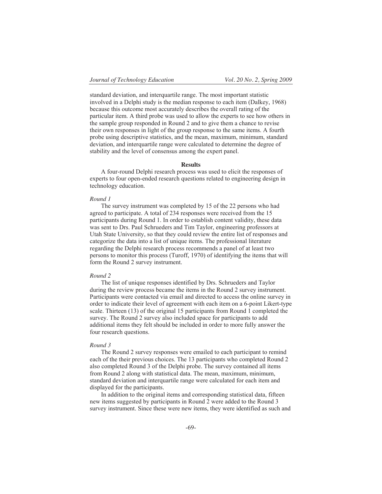standard deviation, and interquartile range. The most important statistic involved in a Delphi study is the median response to each item (Dalkey, 1968) because this outcome most accurately describes the overall rating of the particular item. A third probe was used to allow the experts to see how others in the sample group responded in Round 2 and to give them a chance to revise their own responses in light of the group response to the same items. A fourth probe using descriptive statistics, and the mean, maximum, minimum, standard deviation, and interquartile range were calculated to determine the degree of stability and the level of consensus among the expert panel.

## **Results**

A four-round Delphi research process was used to elicit the responses of experts to four open-ended research questions related to engineering design in technology education.

## *Round 1*

The survey instrument was completed by 15 of the 22 persons who had agreed to participate. A total of 234 responses were received from the 15 participants during Round 1. In order to establish content validity, these data was sent to Drs. Paul Schrueders and Tim Taylor, engineering professors at Utah State University, so that they could review the entire list of responses and categorize the data into a list of unique items. The professional literature regarding the Delphi research process recommends a panel of at least two persons to monitor this process (Turoff, 1970) of identifying the items that will form the Round 2 survey instrument.

## *Round 2*

The list of unique responses identified by Drs. Schrueders and Taylor during the review process became the items in the Round 2 survey instrument. Participants were contacted via email and directed to access the online survey in order to indicate their level of agreement with each item on a 6-point Likert-type scale. Thirteen (13) of the original 15 participants from Round 1 completed the survey. The Round 2 survey also included space for participants to add additional items they felt should be included in order to more fully answer the four research questions.

### *Round 3*

The Round 2 survey responses were emailed to each participant to remind each of the their previous choices. The 13 participants who completed Round 2 also completed Round 3 of the Delphi probe. The survey contained all items from Round 2 along with statistical data. The mean, maximum, minimum, standard deviation and interquartile range were calculated for each item and displayed for the participants.

In addition to the original items and corresponding statistical data, fifteen new items suggested by participants in Round 2 were added to the Round 3 survey instrument. Since these were new items, they were identified as such and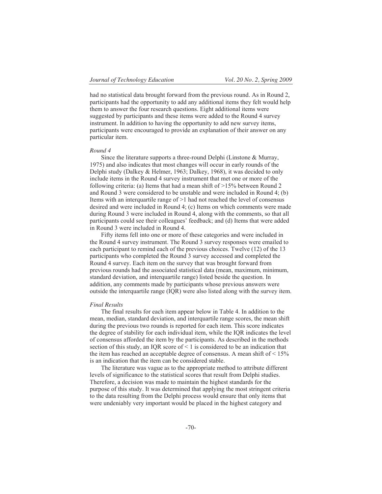had no statistical data brought forward from the previous round. As in Round 2, participants had the opportunity to add any additional items they felt would help them to answer the four research questions. Eight additional items were suggested by participants and these items were added to the Round 4 survey instrument. In addition to having the opportunity to add new survey items, participants were encouraged to provide an explanation of their answer on any particular item.

## *Round 4*

Since the literature supports a three-round Delphi (Linstone & Murray, 1975) and also indicates that most changes will occur in early rounds of the Delphi study (Dalkey & Helmer, 1963; Dalkey, 1968), it was decided to only include items in the Round 4 survey instrument that met one or more of the following criteria: (a) Items that had a mean shift of  $>15\%$  between Round 2 and Round 3 were considered to be unstable and were included in Round 4; (b) Items with an interquartile range of >1 had not reached the level of consensus desired and were included in Round 4; (c) Items on which comments were made during Round 3 were included in Round 4, along with the comments, so that all participants could see their colleagues' feedback; and (d) Items that were added in Round 3 were included in Round 4.

Fifty items fell into one or more of these categories and were included in the Round 4 survey instrument. The Round 3 survey responses were emailed to each participant to remind each of the previous choices. Twelve (12) of the 13 participants who completed the Round 3 survey accessed and completed the Round 4 survey. Each item on the survey that was brought forward from previous rounds had the associated statistical data (mean, maximum, minimum, standard deviation, and interquartile range) listed beside the question. In addition, any comments made by participants whose previous answers were outside the interquartile range (IQR) were also listed along with the survey item.

## *Final Results*

The final results for each item appear below in Table 4. In addition to the mean, median, standard deviation, and interquartile range scores, the mean shift during the previous two rounds is reported for each item. This score indicates the degree of stability for each individual item, while the IQR indicates the level of consensus afforded the item by the participants. As described in the methods section of this study, an IQR score of  $\leq 1$  is considered to be an indication that the item has reached an acceptable degree of consensus. A mean shift of  $\leq 15\%$ is an indication that the item can be considered stable.

The literature was vague as to the appropriate method to attribute different levels of significance to the statistical scores that result from Delphi studies. Therefore, a decision was made to maintain the highest standards for the purpose of this study. It was determined that applying the most stringent criteria to the data resulting from the Delphi process would ensure that only items that were undeniably very important would be placed in the highest category and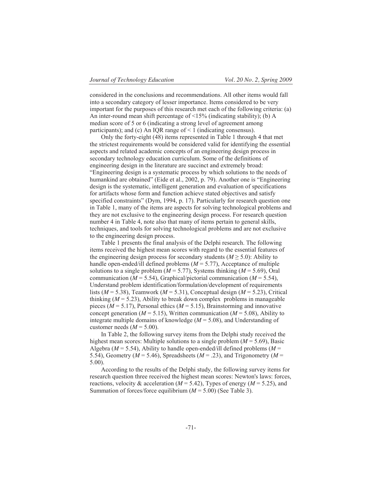considered in the conclusions and recommendations. All other items would fall into a secondary category of lesser importance. Items considered to be very important for the purposes of this research met each of the following criteria: (a) An inter-round mean shift percentage of  $\leq$ 15% (indicating stability); (b) A median score of 5 or 6 (indicating a strong level of agreement among participants); and (c) An IQR range of < 1 (indicating consensus).

Only the forty-eight (48) items represented in Table 1 through 4 that met the strictest requirements would be considered valid for identifying the essential aspects and related academic concepts of an engineering design process in secondary technology education curriculum. Some of the definitions of engineering design in the literature are succinct and extremely broad: "Engineering design is a systematic process by which solutions to the needs of humankind are obtained" (Eide et al., 2002, p. 79). Another one is "Engineering design is the systematic, intelligent generation and evaluation of specifications for artifacts whose form and function achieve stated objectives and satisfy specified constraints" (Dym, 1994, p. 17). Particularly for research question one in Table 1, many of the items are aspects for solving technological problems and they are not exclusive to the engineering design process. For research question number 4 in Table 4, note also that many of items pertain to general skills, techniques, and tools for solving technological problems and are not exclusive to the engineering design process.

Table 1 presents the final analysis of the Delphi research. The following items received the highest mean scores with regard to the essential features of the engineering design process for secondary students  $(M \ge 5.0)$ : Ability to handle open-ended/ill defined problems  $(M = 5.77)$ , Acceptance of multiple solutions to a single problem ( $M = 5.77$ ), Systems thinking ( $M = 5.69$ ), Oral communication ( $M = 5.54$ ), Graphical/pictorial communication ( $M = 5.54$ ), Understand problem identification/formulation/development of requirements lists ( $M = 5.38$ ), Teamwork ( $M = 5.31$ ), Conceptual design ( $M = 5.23$ ), Critical thinking  $(M = 5.23)$ , Ability to break down complex problems in manageable pieces ( $M = 5.17$ ), Personal ethics ( $M = 5.15$ ), Brainstorming and innovative concept generation ( $M = 5.15$ ), Written communication ( $M = 5.08$ ), Ability to integrate multiple domains of knowledge (*M* = 5.08), and Understanding of customer needs  $(M = 5.00)$ .

In Table 2, the following survey items from the Delphi study received the highest mean scores: Multiple solutions to a single problem (*M* = 5.69), Basic Algebra ( $M = 5.54$ ), Ability to handle open-ended/ill defined problems ( $M =$ 5.54), Geometry ( $M = 5.46$ ), Spreadsheets ( $M = .23$ ), and Trigonometry ( $M =$ 5.00).

According to the results of the Delphi study, the following survey items for research question three received the highest mean scores: Newton's laws: forces, reactions, velocity  $\&$  acceleration ( $M = 5.42$ ), Types of energy ( $M = 5.25$ ), and Summation of forces/force equilibrium  $(M = 5.00)$  (See Table 3).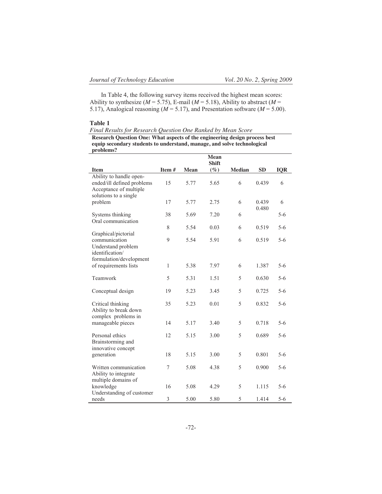In Table 4, the following survey items received the highest mean scores: Ability to synthesize ( $M = 5.75$ ), E-mail ( $M = 5.18$ ), Ability to abstract ( $M =$ 5.17), Analogical reasoning (*M* = 5.17), and Presentation software (*M* = 5.00).

## **Table 1**

*Final Results for Research Question One Ranked by Mean Score* 

**Research Question One: What aspects of the engineering design process best equip secondary students to understand, manage, and solve technological problems?**

|                                                                                                          |       |      | <b>Mean</b><br><b>Shift</b> |               |                |            |  |
|----------------------------------------------------------------------------------------------------------|-------|------|-----------------------------|---------------|----------------|------------|--|
| <b>Item</b>                                                                                              | Item# | Mean | $(\%)$                      | <b>Median</b> | <b>SD</b>      | <b>IQR</b> |  |
| Ability to handle open-<br>ended/ill defined problems<br>Acceptance of multiple<br>solutions to a single | 15    | 5.77 | 5.65                        | 6             | 0.439          | 6          |  |
| problem                                                                                                  | 17    | 5.77 | 2.75                        | 6             | 0.439<br>0.480 | 6          |  |
| Systems thinking<br>Oral communication                                                                   | 38    | 5.69 | 7.20                        | 6             |                | $5 - 6$    |  |
| Graphical/pictorial                                                                                      | 8     | 5.54 | 0.03                        | 6             | 0.519          | $5-6$      |  |
| communication<br>Understand problem<br>identification/<br>formulation/development                        | 9     | 5.54 | 5.91                        | 6             | 0.519          | $5 - 6$    |  |
| of requirements lists                                                                                    | 1     | 5.38 | 7.97                        | 6             | 1.387          | $5-6$      |  |
| Teamwork                                                                                                 | 5     | 5.31 | 1.51                        | 5             | 0.630          | $5 - 6$    |  |
| Conceptual design                                                                                        | 19    | 5.23 | 3.45                        | 5             | 0.725          | $5 - 6$    |  |
| Critical thinking<br>Ability to break down<br>complex problems in                                        | 35    | 5.23 | 0.01                        | 5             | 0.832          | $5-6$      |  |
| manageable pieces                                                                                        | 14    | 5.17 | 3.40                        | 5             | 0.718          | $5 - 6$    |  |
| Personal ethics<br>Brainstorming and<br>innovative concept                                               | 12    | 5.15 | 3.00                        | 5             | 0.689          | $5 - 6$    |  |
| generation                                                                                               | 18    | 5.15 | 3.00                        | 5             | 0.801          | $5 - 6$    |  |
| Written communication<br>Ability to integrate<br>multiple domains of                                     | 7     | 5.08 | 4.38                        | 5             | 0.900          | $5 - 6$    |  |
| knowledge<br>Understanding of customer                                                                   | 16    | 5.08 | 4.29                        | 5             | 1.115          | $5 - 6$    |  |
| needs                                                                                                    | 3     | 5.00 | 5.80                        | 5             | 1.414          | $5 - 6$    |  |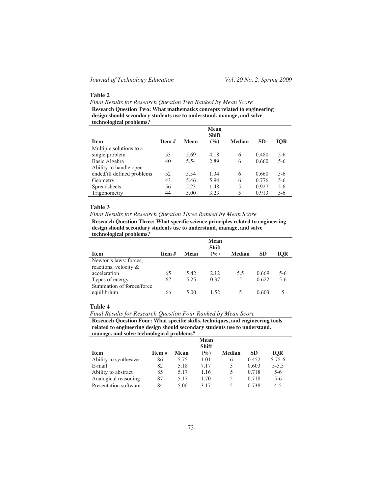## **Table 2**

*Final Results for Research Question Two Ranked by Mean Score*

**Research Question Two: What mathematics concepts related to engineering design should secondary students use to understand, manage, and solve technological problems?** 

|                            |          |             | Mean<br><b>Shift</b> |               |           |            |
|----------------------------|----------|-------------|----------------------|---------------|-----------|------------|
| <b>Item</b>                | Item $#$ | <b>Mean</b> | $(\%)$               | <b>Median</b> | <b>SD</b> | <b>IQR</b> |
| Multiple solutions to a    |          |             |                      |               |           |            |
| single problem             | 53       | 5.69        | 4.18                 | 6             | 0.480     | 5-6        |
| Basic Algebra              | 40       | 5.54        | 2.89                 | 6             | 0.660     | $5 - 6$    |
| Ability to handle open-    |          |             |                      |               |           |            |
| ended/ill defined problems | 52       | 5.54        | 1.34                 | 6             | 0.660     | $5 - 6$    |
| Geometry                   | 43       | 5.46        | 5.94                 | 6             | 0.776     | $5 - 6$    |
| Spreadsheets               | 56       | 5.23        | 1.48                 | 5             | 0.927     | $5 - 6$    |
| Trigonometry               | 44       | 5.00        | 3.23                 | 5             | 0.913     | 5-6        |

## **Table 3**

*Final Results for Research Question Three Ranked by Mean Score*

**Research Question Three: What specific science principles related to engineering design should secondary students use to understand, manage, and solve technological problems?** 

|                           |        |      | <b>Mean</b><br><b>Shift</b> |               |           |            |
|---------------------------|--------|------|-----------------------------|---------------|-----------|------------|
| <b>Item</b>               | Item # | Mean | $(\%)$                      | <b>Median</b> | <b>SD</b> | <b>IOR</b> |
| Newton's laws: forces.    |        |      |                             |               |           |            |
| reactions, velocity &     |        |      |                             |               |           |            |
| acceleration              | 65     | 5.42 | 2.12                        | 5.5           | 0.669     | $5-6$      |
| Types of energy           | 67     | 5.25 | 0.37                        | 5             | 0.622     | $5-6$      |
| Summation of forces/force |        |      |                             |               |           |            |
| equilibrium               | 66     | 5.00 | 1.52                        |               | 0.603     |            |

## **Table 4**

*Final Results for Research Question Four Ranked by Mean Score* **Research Question Four: What specific skills, techniques, and engineering tools** 

**related to engineering design should secondary students use to understand, manage, and solve technological problems?** 

|                       |                 |      | Mean<br><b>Shift</b> |               |           |            |
|-----------------------|-----------------|------|----------------------|---------------|-----------|------------|
| <b>Item</b>           | <b>Item</b> $#$ | Mean | $($ %)               | <b>Median</b> | <b>SD</b> | <b>IOR</b> |
| Ability to synthesize | 86              | 5.75 | 1.01                 | 6             | 0.452     | 5.75-6     |
| E-mail                | 82              | 5.18 | 717                  | 5             | 0.603     | $5 - 5.5$  |
| Ability to abstract   | 85              | 5.17 | 1.16                 | 5             | 0.718     | $5 - 6$    |
| Analogical reasoning  | 87              | 5.17 | 1.70                 | 5             | 0.718     | $5 - 6$    |
| Presentation software | 84              | 5.00 | 3 1 7                |               | 0.738     | $4 - 5$    |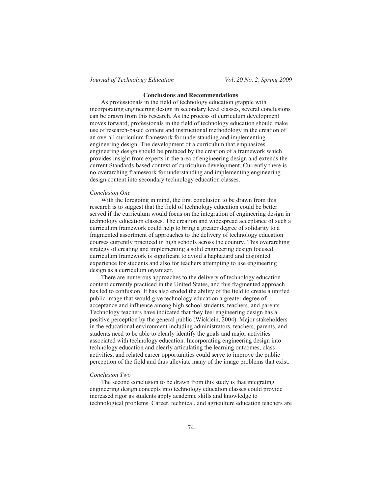## **Conclusions and Recommendations**

As professionals in the field of technology education grapple with incorporating engineering design in secondary level classes, several conclusions can be drawn from this research. As the process of curriculum development moves forward, professionals in the field of technology education should make use of research-based content and instructional methodology in the creation of an overall curriculum framework for understanding and implementing engineering design. The development of a curriculum that emphasizes engineering design should be prefaced by the creation of a framework which provides insight from experts in the area of engineering design and extends the current Standards-based context of curriculum development. Currently there is no overarching framework for understanding and implementing engineering design content into secondary technology education classes.

## *Conclusion One*

With the foregoing in mind, the first conclusion to be drawn from this research is to suggest that the field of technology education could be better served if the curriculum would focus on the integration of engineering design in technology education classes. The creation and widespread acceptance of such a curriculum framework could help to bring a greater degree of solidarity to a fragmented assortment of approaches to the delivery of technology education courses currently practiced in high schools across the country. This overarching strategy of creating and implementing a solid engineering design focused curriculum framework is significant to avoid a haphazard and disjointed experience for students and also for teachers attempting to use engineering design as a curriculum organizer.

There are numerous approaches to the delivery of technology education content currently practiced in the United States, and this fragmented approach has led to confusion. It has also eroded the ability of the field to create a unified public image that would give technology education a greater degree of acceptance and influence among high school students, teachers, and parents. Technology teachers have indicated that they feel engineering design has a positive perception by the general public (Wicklein, 2004). Major stakeholders in the educational environment including administrators, teachers, parents, and students need to be able to clearly identify the goals and major activities associated with technology education. Incorporating engineering design into technology education and clearly articulating the learning outcomes, class activities, and related career opportunities could serve to improve the public perception of the field and thus alleviate many of the image problems that exist.

## *Conclusion Two*

The second conclusion to be drawn from this study is that integrating engineering design concepts into technology education classes could provide increased rigor as students apply academic skills and knowledge to technological problems. Career, technical, and agriculture education teachers are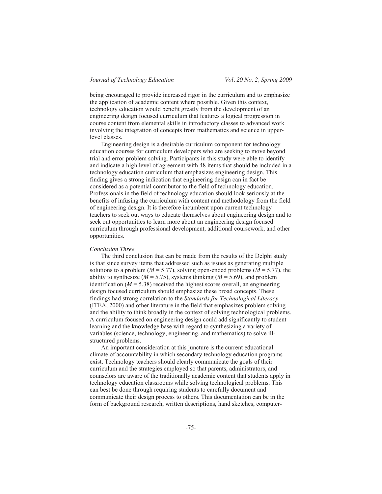being encouraged to provide increased rigor in the curriculum and to emphasize the application of academic content where possible. Given this context, technology education would benefit greatly from the development of an engineering design focused curriculum that features a logical progression in course content from elemental skills in introductory classes to advanced work involving the integration of concepts from mathematics and science in upperlevel classes.

Engineering design is a desirable curriculum component for technology education courses for curriculum developers who are seeking to move beyond trial and error problem solving. Participants in this study were able to identify and indicate a high level of agreement with 48 items that should be included in a technology education curriculum that emphasizes engineering design. This finding gives a strong indication that engineering design can in fact be considered as a potential contributor to the field of technology education. Professionals in the field of technology education should look seriously at the benefits of infusing the curriculum with content and methodology from the field of engineering design. It is therefore incumbent upon current technology teachers to seek out ways to educate themselves about engineering design and to seek out opportunities to learn more about an engineering design focused curriculum through professional development, additional coursework, and other opportunities.

#### *Conclusion Three*

The third conclusion that can be made from the results of the Delphi study is that since survey items that addressed such as issues as generating multiple solutions to a problem ( $M = 5.77$ ), solving open-ended problems ( $M = 5.77$ ), the ability to synthesize ( $M = 5.75$ ), systems thinking ( $M = 5.69$ ), and problem identification ( $M = 5.38$ ) received the highest scores overall, an engineering design focused curriculum should emphasize these broad concepts. These findings had strong correlation to the *Standards for Technological Literacy*  (ITEA, 2000) and other literature in the field that emphasizes problem solving and the ability to think broadly in the context of solving technological problems. A curriculum focused on engineering design could add significantly to student learning and the knowledge base with regard to synthesizing a variety of variables (science, technology, engineering, and mathematics) to solve illstructured problems.

An important consideration at this juncture is the current educational climate of accountability in which secondary technology education programs exist. Technology teachers should clearly communicate the goals of their curriculum and the strategies employed so that parents, administrators, and counselors are aware of the traditionally academic content that students apply in technology education classrooms while solving technological problems. This can best be done through requiring students to carefully document and communicate their design process to others. This documentation can be in the form of background research, written descriptions, hand sketches, computer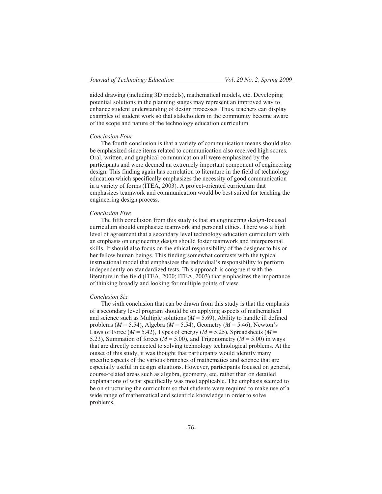aided drawing (including 3D models), mathematical models, etc. Developing potential solutions in the planning stages may represent an improved way to enhance student understanding of design processes. Thus, teachers can display examples of student work so that stakeholders in the community become aware of the scope and nature of the technology education curriculum.

## *Conclusion Four*

The fourth conclusion is that a variety of communication means should also be emphasized since items related to communication also received high scores. Oral, written, and graphical communication all were emphasized by the participants and were deemed an extremely important component of engineering design. This finding again has correlation to literature in the field of technology education which specifically emphasizes the necessity of good communication in a variety of forms (ITEA, 2003). A project-oriented curriculum that emphasizes teamwork and communication would be best suited for teaching the engineering design process.

## *Conclusion Five*

The fifth conclusion from this study is that an engineering design-focused curriculum should emphasize teamwork and personal ethics. There was a high level of agreement that a secondary level technology education curriculum with an emphasis on engineering design should foster teamwork and interpersonal skills. It should also focus on the ethical responsibility of the designer to his or her fellow human beings. This finding somewhat contrasts with the typical instructional model that emphasizes the individual's responsibility to perform independently on standardized tests. This approach is congruent with the literature in the field (ITEA, 2000; ITEA, 2003) that emphasizes the importance of thinking broadly and looking for multiple points of view.

## *Conclusion Six*

The sixth conclusion that can be drawn from this study is that the emphasis of a secondary level program should be on applying aspects of mathematical and science such as Multiple solutions  $(M = 5.69)$ , Ability to handle ill defined problems (*M* = 5.54), Algebra (*M* = 5.54), Geometry (*M* = 5.46), Newton's Laws of Force ( $M = 5.42$ ), Types of energy ( $M = 5.25$ ), Spreadsheets ( $M =$ 5.23), Summation of forces ( $M = 5.00$ ), and Trigonometry ( $M = 5.00$ ) in ways that are directly connected to solving technology technological problems. At the outset of this study, it was thought that participants would identify many specific aspects of the various branches of mathematics and science that are especially useful in design situations. However, participants focused on general, course-related areas such as algebra, geometry, etc. rather than on detailed explanations of what specifically was most applicable. The emphasis seemed to be on structuring the curriculum so that students were required to make use of a wide range of mathematical and scientific knowledge in order to solve problems.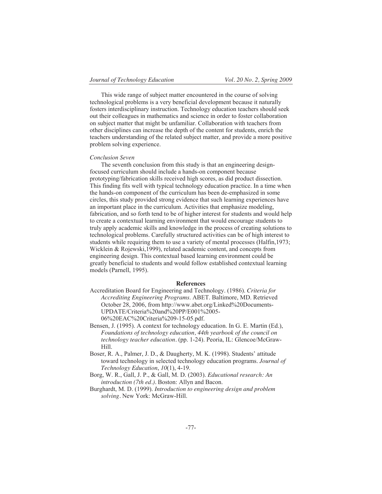This wide range of subject matter encountered in the course of solving technological problems is a very beneficial development because it naturally fosters interdisciplinary instruction. Technology education teachers should seek out their colleagues in mathematics and science in order to foster collaboration on subject matter that might be unfamiliar. Collaboration with teachers from other disciplines can increase the depth of the content for students, enrich the teachers understanding of the related subject matter, and provide a more positive problem solving experience.

## *Conclusion Seven*

The seventh conclusion from this study is that an engineering designfocused curriculum should include a hands-on component because prototyping/fabrication skills received high scores, as did product dissection. This finding fits well with typical technology education practice. In a time when the hands-on component of the curriculum has been de-emphasized in some circles, this study provided strong evidence that such learning experiences have an important place in the curriculum. Activities that emphasize modeling, fabrication, and so forth tend to be of higher interest for students and would help to create a contextual learning environment that would encourage students to truly apply academic skills and knowledge in the process of creating solutions to technological problems. Carefully structured activities can be of high interest to students while requiring them to use a variety of mental processes (Halfin,1973; Wicklein & Rojewski,1999), related academic content, and concepts from engineering design. This contextual based learning environment could be greatly beneficial to students and would follow established contextual learning models (Parnell, 1995).

## **References**

- Accreditation Board for Engineering and Technology. (1986). *Criteria for Accrediting Engineering Programs*. ABET. Baltimore, MD. Retrieved October 28, 2006, from http://www.abet.org/Linked%20Documents-UPDATE/Criteria%20and%20PP/E001%2005- 06%20EAC%20Criteria%209-15-05.pdf.
- Bensen, J. (1995). A context for technology education. In G. E. Martin (Ed.), *Foundations of technology education, 44th yearbook of the council on technology teacher education.* (pp. 1-24). Peoria, IL: Glencoe/McGraw-Hill.
- Boser, R. A., Palmer, J. D., & Daugherty, M. K. (1998). Students' attitude toward technology in selected technology education programs. *Journal of Technology Education*, *10*(1), 4-19.
- Borg, W. R., Gall, J. P., & Gall, M. D. (2003). *Educational research: An introduction (7th ed.).* Boston: Allyn and Bacon.
- Burghardt, M. D. (1999). *Introduction to engineering design and problem solving.* New York: McGraw-Hill.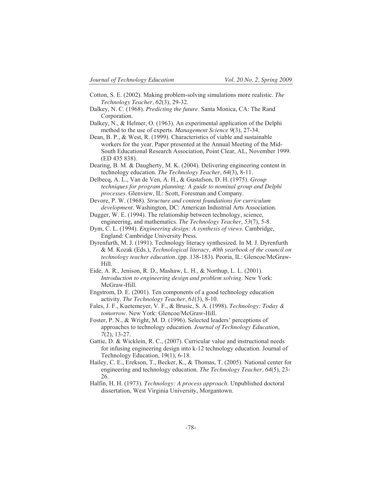- Cotton, S. E. (2002). Making problem-solving simulations more realistic. *The Technology Teacher, 62*(3), 29-32.
- Dalkey, N. C. (1968). *Predicting the future*. Santa Monica, CA: The Rand Corporation.
- Dalkey, N., & Helmer, O. (1963). An experimental application of the Delphi method to the use of experts. *Management Science 9*(3), 27-34.
- Dean, B. P., & West, R. (1999). Characteristics of viable and sustainable workers for the year. Paper presented at the Annual Meeting of the Mid-South Educational Research Association, Point Clear, AL, November 1999. (ED 435 838).
- Dearing, B. M. & Daugherty, M. K. (2004). Delivering engineering content in technology education. *The Technology Teacher, 64*(3), 8-11.
- Delbecq, A. L., Van de Ven, A. H., & Gustafson, D. H. (1975). *Group techniques for program planning: A guide to nominal group and Delphi processes*. Glenview, IL: Scott, Foresman and Company.
- Devore, P. W. (1968). *Structure and content foundations for curriculum development*. Washington, DC: American Industrial Arts Association.
- Dugger, W. E. (1994). The relationship between technology, science, engineering, and mathematics. *The Technology Teacher*, *53*(7), 5-8.
- Dym, C. L. (1994). *Engineering design: A synthesis of views*. Cambridge, England: Cambridge University Press.
- Dyrenfurth, M. J. (1991). Technology literacy synthesized. In M. J. Dyrenfurth & M. Kozak (Eds.), *Technological literacy, 40th yearbook of the council on technology teacher education.* (pp. 138-183). Peoria, IL: Glencoe/McGraw-Hill.
- Eide, A. R., Jenison, R. D., Mashaw, L. H., & Northup, L. L. (2001). *Introduction to engineering design and problem solving*. New York: McGraw-Hill.
- Engstrom, D. E. (2001). Ten components of a good technology education activity. *The Technology Teacher, 61*(3), 8-10.
- Fales, J. F., Kuetemeyer, V. F., & Brusic, S. A. (1998). *Technology: Today & tomorrow*. New York: Glencoe/McGraw-Hill.

Foster, P. N., & Wright, M. D. (1996). Selected leaders' perceptions of approaches to technology education. *Journal of Technology Education*, *7*(2), 13-27.

- Gattie, D. & Wicklein, R. C., (2007). Curricular value and instructional needs for infusing engineering design into k-12 technology education. Journal of Technology Education, 19(1), 6-18.
- Hailey, C. E., Erekson, T., Becker, K., & Thomas, T. (2005). National center for engineering and technology education. *The Technology Teacher, 64*(5), 23- 26.
- Halfin, H. H. (1973). *Technology: A process approach*. Unpublished doctoral dissertation, West Virginia University, Morgantown.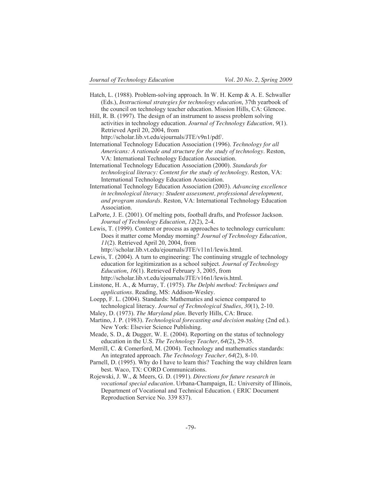- Hatch, L. (1988). Problem-solving approach. In W. H. Kemp & A. E. Schwaller (Eds.), *Instructional strategies for technology education*, 37th yearbook of the council on technology teacher education. Mission Hills, CA: Glencoe.
- Hill, R. B. (1997). The design of an instrument to assess problem solving activities in technology education. *Journal of Technology Education, 9*(1). Retrieved April 20, 2004, from

http://scholar.lib.vt.edu/ejournals/JTE/v9n1/pdf/.

- International Technology Education Association (1996). *Technology for all Americans: A rationale and structure for the study of technology*. Reston, VA: International Technology Education Association.
- International Technology Education Association (2000). *Standards for technological literacy: Content for the study of technology*. Reston, VA: International Technology Education Association.
- International Technology Education Association (2003). *Advancing excellence in technological literacy: Student assessment, professional development, and program standards*. Reston, VA: International Technology Education Association.
- LaPorte, J. E. (2001). Of melting pots, football drafts, and Professor Jackson. *Journal of Technology Education*, *12*(2), 2-4.
- Lewis, T. (1999). Content or process as approaches to technology curriculum: Does it matter come Monday morning? *Journal of Technology Education, 11*(2). Retrieved April 20, 2004, from
	- http://scholar.lib.vt.edu/ejournals/JTE/v11n1/lewis.html.

Lewis, T. (2004). A turn to engineering: The continuing struggle of technology education for legitimization as a school subject. *Journal of Technology Education*, *16*(1). Retrieved February 3, 2005, from http://scholar.lib.vt.edu/ejournals/JTE/v16n1/lewis.html.

- Linstone, H. A., & Murray, T. (1975). *The Delphi method: Techniques and applications*. Reading, MS: Addison-Wesley.
- Loepp, F. L. (2004). Standards: Mathematics and science compared to technological literacy. *Journal of Technological Studies*, *30*(1), 2-10.
- Maley, D. (1973). *The Maryland plan*. Beverly Hills, CA: Bruce.
- Martino, J. P. (1983). *Technological forecasting and decision making* (2nd ed.). New York: Elsevier Science Publishing.
- Meade, S. D., & Dugger, W. E. (2004). Reporting on the status of technology education in the U.S. *The Technology Teacher*, *64*(2), 29-35.
- Merrill, C. & Comerford, M. (2004). Technology and mathematics standards: An integrated approach. *The Technology Teacher, 64*(2), 8-10.
- Parnell, D. (1995). Why do I have to learn this? Teaching the way children learn best. Waco, TX: CORD Communications.
- Rojewski, J. W., & Meers, G. D. (1991). *Directions for future research in vocational special education.* Urbana-Champaign, IL: University of Illinois, Department of Vocational and Technical Education. ( ERIC Document Reproduction Service No. 339 837).